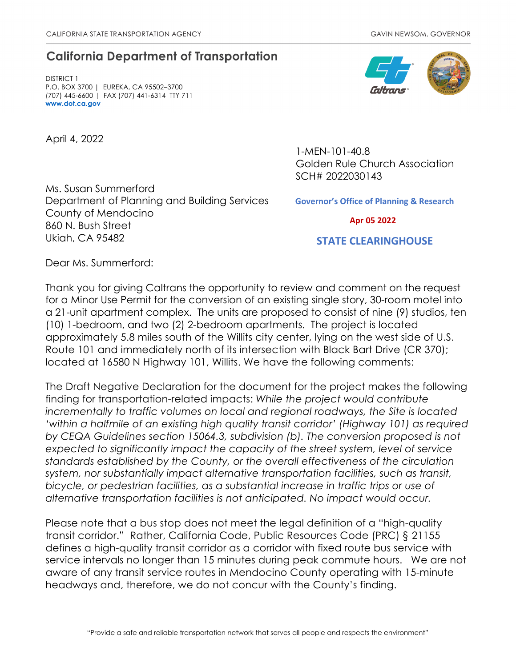## **California Department of Transportation**

DISTRICT 1 P.O. BOX 3700 | EUREKA, CA 95502–3700 (707) 445-6600 | FAX (707) 441-6314 TTY 711 **[www.dot.ca.gov](http://www.dot.ca.gov/)**

April 4, 2022

Ms. Susan Summerford Department of Planning and Building Services County of Mendocino 860 N. Bush Street Ukiah, CA 95482

1-MEN-101-40.8 Golden Rule Church Association SCH# 2022030143

**Governor's Office of Planning & Research**

 **Apr 05 2022**

 **STATE CLEARINGHOUSE**

Dear Ms. Summerford:

Thank you for giving Caltrans the opportunity to review and comment on the request for a Minor Use Permit for the conversion of an existing single story, 30-room motel into a 21-unit apartment complex. The units are proposed to consist of nine (9) studios, ten (10) 1-bedroom, and two (2) 2-bedroom apartments. The project is located approximately 5.8 miles south of the Willits city center, lying on the west side of U.S. Route 101 and immediately north of its intersection with Black Bart Drive (CR 370); located at 16580 N Highway 101, Willits. We have the following comments:

The Draft Negative Declaration for the document for the project makes the following finding for transportation-related impacts: *While the project would contribute incrementally to traffic volumes on local and regional roadways, the Site is located 'within a halfmile of an existing high quality transit corridor' (Highway 101) as required by CEQA Guidelines section 15064.3, subdivision (b). The conversion proposed is not expected to significantly impact the capacity of the street system, level of service standards established by the County, or the overall effectiveness of the circulation system, nor substantially impact alternative transportation facilities, such as transit, bicycle, or pedestrian facilities, as a substantial increase in traffic trips or use of alternative transportation facilities is not anticipated. No impact would occur.*

Please note that a bus stop does not meet the legal definition of a "high-quality transit corridor." Rather, California Code, Public Resources Code (PRC) § 21155 defines a high-quality transit corridor as a corridor with fixed route bus service with service intervals no longer than 15 minutes during peak commute hours. We are not aware of any transit service routes in Mendocino County operating with 15-minute headways and, therefore, we do not concur with the County's finding.